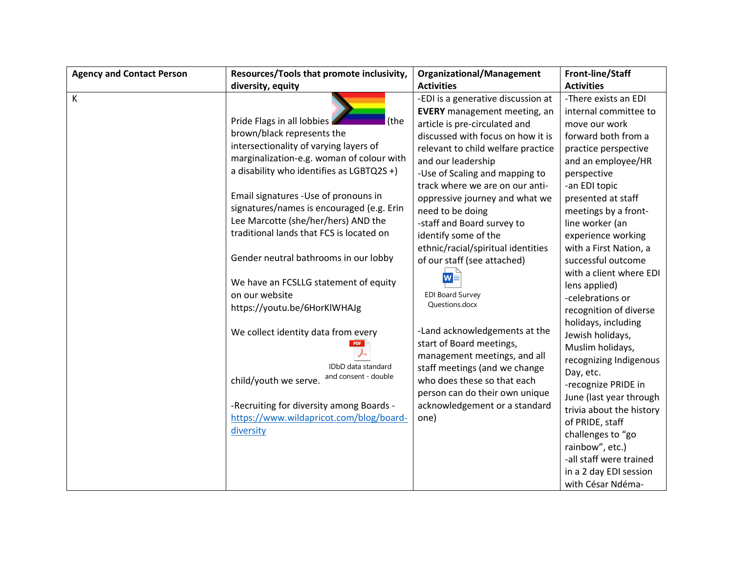| <b>Agency and Contact Person</b> | Resources/Tools that promote inclusivity, | <b>Organizational/Management</b>          | <b>Front-line/Staff</b>  |
|----------------------------------|-------------------------------------------|-------------------------------------------|--------------------------|
|                                  | diversity, equity                         | <b>Activities</b>                         | <b>Activities</b>        |
| К                                |                                           | -EDI is a generative discussion at        | -There exists an EDI     |
|                                  |                                           | <b>EVERY</b> management meeting, an       | internal committee to    |
|                                  | Pride Flags in all lobbies<br>(the        | article is pre-circulated and             | move our work            |
|                                  | brown/black represents the                | discussed with focus on how it is         | forward both from a      |
|                                  | intersectionality of varying layers of    | relevant to child welfare practice        | practice perspective     |
|                                  | marginalization-e.g. woman of colour with | and our leadership                        | and an employee/HR       |
|                                  | a disability who identifies as LGBTQ2S +) | -Use of Scaling and mapping to            | perspective              |
|                                  |                                           | track where we are on our anti-           | -an EDI topic            |
|                                  | Email signatures - Use of pronouns in     | oppressive journey and what we            | presented at staff       |
|                                  | signatures/names is encouraged (e.g. Erin | need to be doing                          | meetings by a front-     |
|                                  | Lee Marcotte (she/her/hers) AND the       | -staff and Board survey to                | line worker (an          |
|                                  | traditional lands that FCS is located on  | identify some of the                      | experience working       |
|                                  |                                           | ethnic/racial/spiritual identities        | with a First Nation, a   |
|                                  | Gender neutral bathrooms in our lobby     | of our staff (see attached)               | successful outcome       |
|                                  |                                           | $W \equiv$                                | with a client where EDI  |
|                                  | We have an FCSLLG statement of equity     |                                           | lens applied)            |
|                                  | on our website                            | <b>EDI Board Survey</b><br>Questions.docx | -celebrations or         |
|                                  | https://youtu.be/6HorKlWHAJg              |                                           | recognition of diverse   |
|                                  |                                           |                                           | holidays, including      |
|                                  | We collect identity data from every       | -Land acknowledgements at the             | Jewish holidays,         |
|                                  |                                           | start of Board meetings,                  | Muslim holidays,         |
|                                  | IDbD data standard                        | management meetings, and all              | recognizing Indigenous   |
|                                  | and consent - double                      | staff meetings (and we change             | Day, etc.                |
|                                  | child/youth we serve.                     | who does these so that each               | -recognize PRIDE in      |
|                                  |                                           | person can do their own unique            | June (last year through  |
|                                  | -Recruiting for diversity among Boards -  | acknowledgement or a standard             | trivia about the history |
|                                  | https://www.wildapricot.com/blog/board-   | one)                                      | of PRIDE, staff          |
|                                  | diversity                                 |                                           | challenges to "go        |
|                                  |                                           |                                           | rainbow", etc.)          |
|                                  |                                           |                                           | -all staff were trained  |
|                                  |                                           |                                           | in a 2 day EDI session   |
|                                  |                                           |                                           | with César Ndéma-        |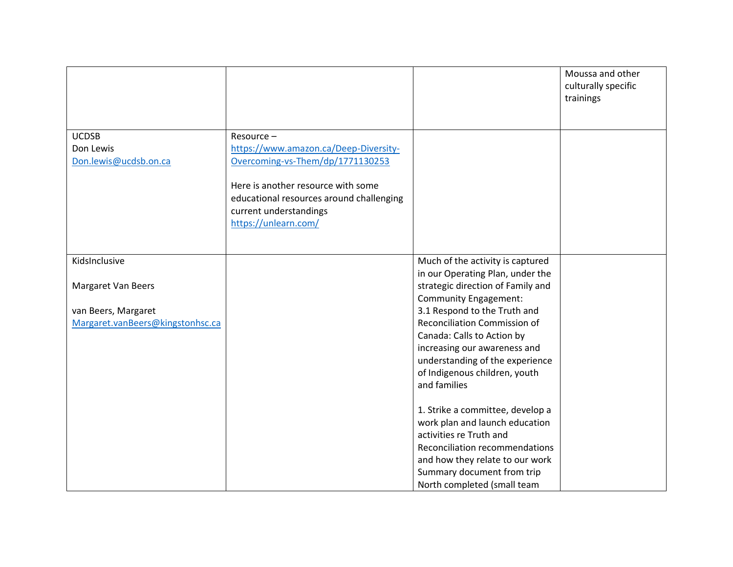|                                  |                                          |                                               | Moussa and other<br>culturally specific<br>trainings |
|----------------------------------|------------------------------------------|-----------------------------------------------|------------------------------------------------------|
| <b>UCDSB</b>                     | Resource-                                |                                               |                                                      |
| Don Lewis                        | https://www.amazon.ca/Deep-Diversity-    |                                               |                                                      |
| Don.lewis@ucdsb.on.ca            | Overcoming-vs-Them/dp/1771130253         |                                               |                                                      |
|                                  | Here is another resource with some       |                                               |                                                      |
|                                  | educational resources around challenging |                                               |                                                      |
|                                  | current understandings                   |                                               |                                                      |
|                                  | https://unlearn.com/                     |                                               |                                                      |
|                                  |                                          |                                               |                                                      |
| KidsInclusive                    |                                          | Much of the activity is captured              |                                                      |
|                                  |                                          | in our Operating Plan, under the              |                                                      |
| <b>Margaret Van Beers</b>        |                                          | strategic direction of Family and             |                                                      |
|                                  |                                          | <b>Community Engagement:</b>                  |                                                      |
| van Beers, Margaret              |                                          | 3.1 Respond to the Truth and                  |                                                      |
| Margaret.vanBeers@kingstonhsc.ca |                                          | Reconciliation Commission of                  |                                                      |
|                                  |                                          | Canada: Calls to Action by                    |                                                      |
|                                  |                                          | increasing our awareness and                  |                                                      |
|                                  |                                          | understanding of the experience               |                                                      |
|                                  |                                          | of Indigenous children, youth<br>and families |                                                      |
|                                  |                                          |                                               |                                                      |
|                                  |                                          | 1. Strike a committee, develop a              |                                                      |
|                                  |                                          | work plan and launch education                |                                                      |
|                                  |                                          | activities re Truth and                       |                                                      |
|                                  |                                          | Reconciliation recommendations                |                                                      |
|                                  |                                          | and how they relate to our work               |                                                      |
|                                  |                                          | Summary document from trip                    |                                                      |
|                                  |                                          | North completed (small team                   |                                                      |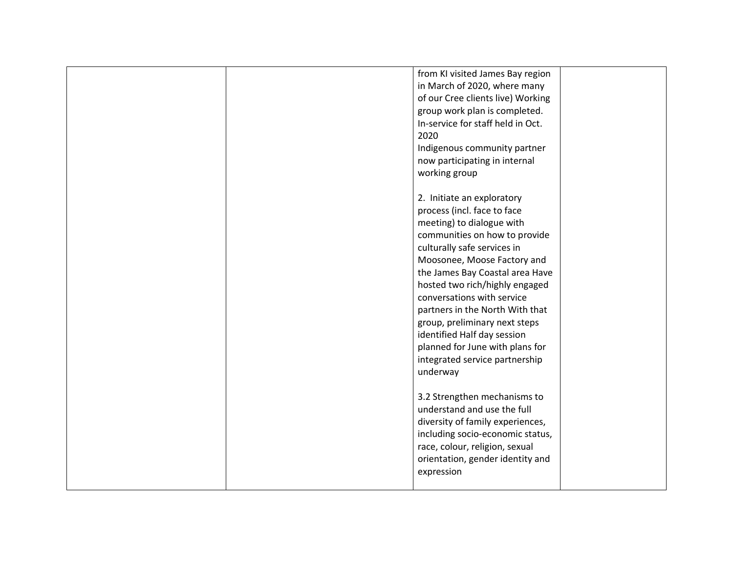|  | from KI visited James Bay region  |  |
|--|-----------------------------------|--|
|  | in March of 2020, where many      |  |
|  | of our Cree clients live) Working |  |
|  | group work plan is completed.     |  |
|  | In-service for staff held in Oct. |  |
|  | 2020                              |  |
|  | Indigenous community partner      |  |
|  | now participating in internal     |  |
|  | working group                     |  |
|  |                                   |  |
|  | 2. Initiate an exploratory        |  |
|  | process (incl. face to face       |  |
|  | meeting) to dialogue with         |  |
|  | communities on how to provide     |  |
|  | culturally safe services in       |  |
|  | Moosonee, Moose Factory and       |  |
|  | the James Bay Coastal area Have   |  |
|  | hosted two rich/highly engaged    |  |
|  | conversations with service        |  |
|  | partners in the North With that   |  |
|  | group, preliminary next steps     |  |
|  | identified Half day session       |  |
|  | planned for June with plans for   |  |
|  | integrated service partnership    |  |
|  | underway                          |  |
|  |                                   |  |
|  | 3.2 Strengthen mechanisms to      |  |
|  | understand and use the full       |  |
|  | diversity of family experiences,  |  |
|  | including socio-economic status,  |  |
|  | race, colour, religion, sexual    |  |
|  | orientation, gender identity and  |  |
|  | expression                        |  |
|  |                                   |  |
|  |                                   |  |